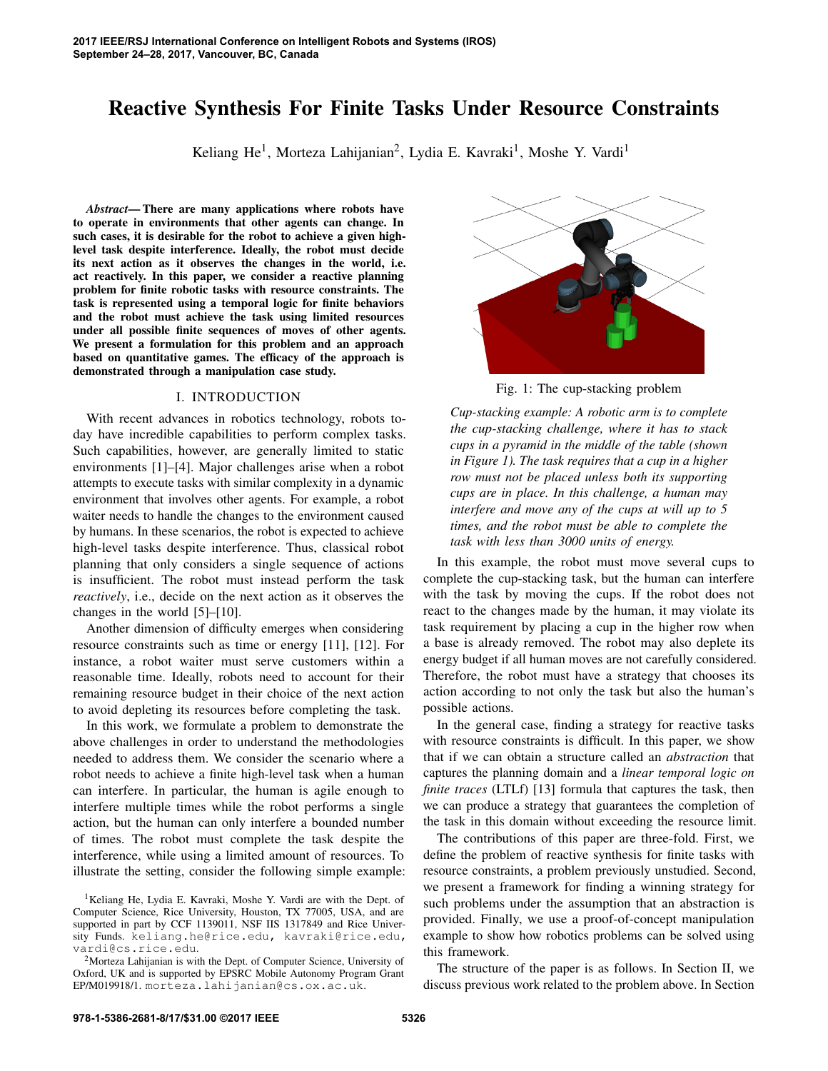# Reactive Synthesis For Finite Tasks Under Resource Constraints

Keliang He<sup>1</sup>, Morteza Lahijanian<sup>2</sup>, Lydia E. Kavraki<sup>1</sup>, Moshe Y. Vardi<sup>1</sup>

*Abstract*— There are many applications where robots have to operate in environments that other agents can change. In such cases, it is desirable for the robot to achieve a given highlevel task despite interference. Ideally, the robot must decide its next action as it observes the changes in the world, i.e. act reactively. In this paper, we consider a reactive planning problem for finite robotic tasks with resource constraints. The task is represented using a temporal logic for finite behaviors and the robot must achieve the task using limited resources under all possible finite sequences of moves of other agents. We present a formulation for this problem and an approach based on quantitative games. The efficacy of the approach is demonstrated through a manipulation case study.

### I. INTRODUCTION

With recent advances in robotics technology, robots today have incredible capabilities to perform complex tasks. Such capabilities, however, are generally limited to static environments [1]–[4]. Major challenges arise when a robot attempts to execute tasks with similar complexity in a dynamic environment that involves other agents. For example, a robot waiter needs to handle the changes to the environment caused by humans. In these scenarios, the robot is expected to achieve high-level tasks despite interference. Thus, classical robot planning that only considers a single sequence of actions is insufficient. The robot must instead perform the task *reactively*, i.e., decide on the next action as it observes the changes in the world [5]–[10].

Another dimension of difficulty emerges when considering resource constraints such as time or energy [11], [12]. For instance, a robot waiter must serve customers within a reasonable time. Ideally, robots need to account for their remaining resource budget in their choice of the next action to avoid depleting its resources before completing the task.

In this work, we formulate a problem to demonstrate the above challenges in order to understand the methodologies needed to address them. We consider the scenario where a robot needs to achieve a finite high-level task when a human can interfere. In particular, the human is agile enough to interfere multiple times while the robot performs a single action, but the human can only interfere a bounded number of times. The robot must complete the task despite the interference, while using a limited amount of resources. To illustrate the setting, consider the following simple example:



Fig. 1: The cup-stacking problem

*Cup-stacking example: A robotic arm is to complete the cup-stacking challenge, where it has to stack cups in a pyramid in the middle of the table (shown in Figure 1). The task requires that a cup in a higher row must not be placed unless both its supporting cups are in place. In this challenge, a human may interfere and move any of the cups at will up to 5 times, and the robot must be able to complete the task with less than 3000 units of energy.*

In this example, the robot must move several cups to complete the cup-stacking task, but the human can interfere with the task by moving the cups. If the robot does not react to the changes made by the human, it may violate its task requirement by placing a cup in the higher row when a base is already removed. The robot may also deplete its energy budget if all human moves are not carefully considered. Therefore, the robot must have a strategy that chooses its action according to not only the task but also the human's possible actions.

In the general case, finding a strategy for reactive tasks with resource constraints is difficult. In this paper, we show that if we can obtain a structure called an *abstraction* that captures the planning domain and a *linear temporal logic on finite traces* (LTLf) [13] formula that captures the task, then we can produce a strategy that guarantees the completion of the task in this domain without exceeding the resource limit.

The contributions of this paper are three-fold. First, we define the problem of reactive synthesis for finite tasks with resource constraints, a problem previously unstudied. Second, we present a framework for finding a winning strategy for such problems under the assumption that an abstraction is provided. Finally, we use a proof-of-concept manipulation example to show how robotics problems can be solved using this framework.

The structure of the paper is as follows. In Section II, we discuss previous work related to the problem above. In Section

<sup>&</sup>lt;sup>1</sup>Keliang He, Lydia E. Kavraki, Moshe Y. Vardi are with the Dept. of Computer Science, Rice University, Houston, TX 77005, USA, and are supported in part by CCF 1139011, NSF IIS 1317849 and Rice University Funds. keliang.he@rice.edu, kavraki@rice.edu, vardi@cs.rice.edu.

<sup>2</sup>Morteza Lahijanian is with the Dept. of Computer Science, University of Oxford, UK and is supported by EPSRC Mobile Autonomy Program Grant EP/M019918/1. morteza.lahijanian@cs.ox.ac.uk.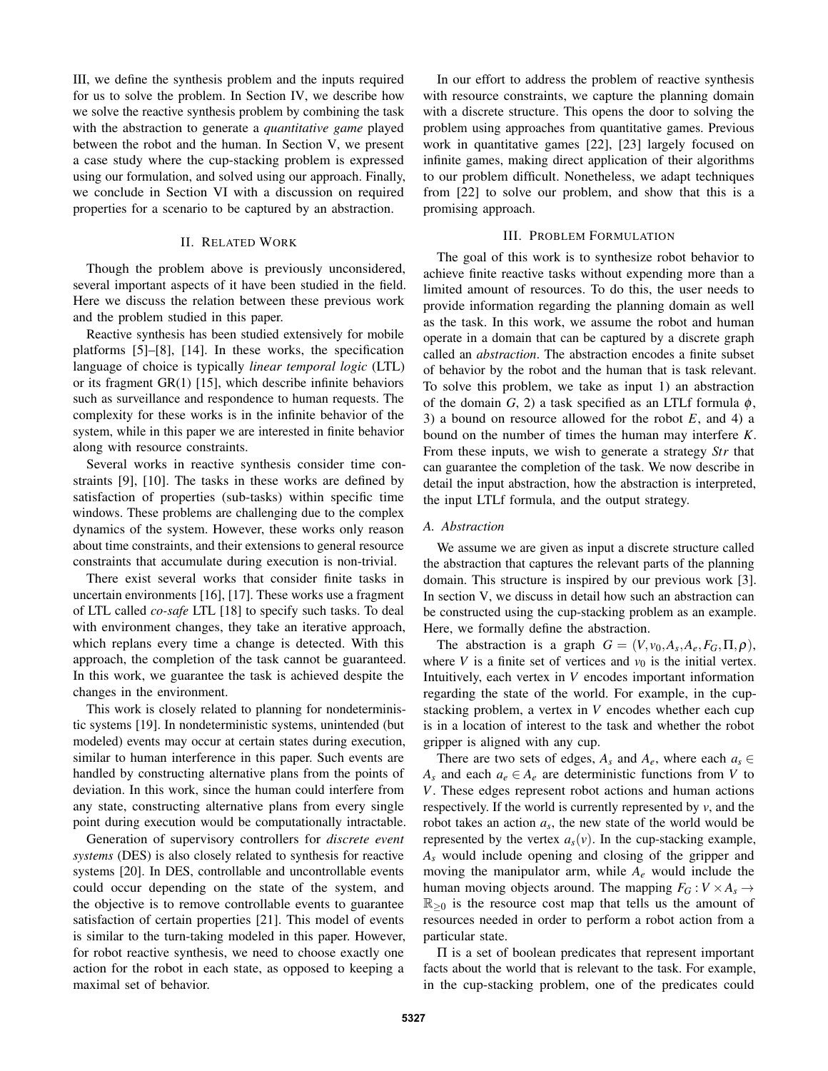III, we define the synthesis problem and the inputs required for us to solve the problem. In Section IV, we describe how we solve the reactive synthesis problem by combining the task with the abstraction to generate a *quantitative game* played between the robot and the human. In Section V, we present a case study where the cup-stacking problem is expressed using our formulation, and solved using our approach. Finally, we conclude in Section VI with a discussion on required properties for a scenario to be captured by an abstraction.

#### II. RELATED WORK

Though the problem above is previously unconsidered, several important aspects of it have been studied in the field. Here we discuss the relation between these previous work and the problem studied in this paper.

Reactive synthesis has been studied extensively for mobile platforms [5]–[8], [14]. In these works, the specification language of choice is typically *linear temporal logic* (LTL) or its fragment GR(1) [15], which describe infinite behaviors such as surveillance and respondence to human requests. The complexity for these works is in the infinite behavior of the system, while in this paper we are interested in finite behavior along with resource constraints.

Several works in reactive synthesis consider time constraints [9], [10]. The tasks in these works are defined by satisfaction of properties (sub-tasks) within specific time windows. These problems are challenging due to the complex dynamics of the system. However, these works only reason about time constraints, and their extensions to general resource constraints that accumulate during execution is non-trivial.

There exist several works that consider finite tasks in uncertain environments [16], [17]. These works use a fragment of LTL called *co-safe* LTL [18] to specify such tasks. To deal with environment changes, they take an iterative approach, which replans every time a change is detected. With this approach, the completion of the task cannot be guaranteed. In this work, we guarantee the task is achieved despite the changes in the environment.

This work is closely related to planning for nondeterministic systems [19]. In nondeterministic systems, unintended (but modeled) events may occur at certain states during execution, similar to human interference in this paper. Such events are handled by constructing alternative plans from the points of deviation. In this work, since the human could interfere from any state, constructing alternative plans from every single point during execution would be computationally intractable.

Generation of supervisory controllers for *discrete event systems* (DES) is also closely related to synthesis for reactive systems [20]. In DES, controllable and uncontrollable events could occur depending on the state of the system, and the objective is to remove controllable events to guarantee satisfaction of certain properties [21]. This model of events is similar to the turn-taking modeled in this paper. However, for robot reactive synthesis, we need to choose exactly one action for the robot in each state, as opposed to keeping a maximal set of behavior.

In our effort to address the problem of reactive synthesis with resource constraints, we capture the planning domain with a discrete structure. This opens the door to solving the problem using approaches from quantitative games. Previous work in quantitative games [22], [23] largely focused on infinite games, making direct application of their algorithms to our problem difficult. Nonetheless, we adapt techniques from [22] to solve our problem, and show that this is a promising approach.

### III. PROBLEM FORMULATION

The goal of this work is to synthesize robot behavior to achieve finite reactive tasks without expending more than a limited amount of resources. To do this, the user needs to provide information regarding the planning domain as well as the task. In this work, we assume the robot and human operate in a domain that can be captured by a discrete graph called an *abstraction*. The abstraction encodes a finite subset of behavior by the robot and the human that is task relevant. To solve this problem, we take as input 1) an abstraction of the domain *G*, 2) a task specified as an LTLf formula  $\phi$ , 3) a bound on resource allowed for the robot *E*, and 4) a bound on the number of times the human may interfere *K*. From these inputs, we wish to generate a strategy *Str* that can guarantee the completion of the task. We now describe in detail the input abstraction, how the abstraction is interpreted, the input LTLf formula, and the output strategy.

### *A. Abstraction*

We assume we are given as input a discrete structure called the abstraction that captures the relevant parts of the planning domain. This structure is inspired by our previous work [3]. In section V, we discuss in detail how such an abstraction can be constructed using the cup-stacking problem as an example. Here, we formally define the abstraction.

The abstraction is a graph  $G = (V, v_0, A_s, A_e, F_G, \Pi, \rho)$ , where *V* is a finite set of vertices and  $v_0$  is the initial vertex. Intuitively, each vertex in *V* encodes important information regarding the state of the world. For example, in the cupstacking problem, a vertex in *V* encodes whether each cup is in a location of interest to the task and whether the robot gripper is aligned with any cup.

There are two sets of edges,  $A_s$  and  $A_e$ , where each  $a_s \in$ *A*<sup>*s*</sup> and each  $a_e \in A_e$  are deterministic functions from *V* to *V*. These edges represent robot actions and human actions respectively. If the world is currently represented by *v*, and the robot takes an action  $a_s$ , the new state of the world would be represented by the vertex  $a_s(v)$ . In the cup-stacking example, *A<sup>s</sup>* would include opening and closing of the gripper and moving the manipulator arm, while *A<sup>e</sup>* would include the human moving objects around. The mapping  $F_G: V \times A_s \rightarrow$  $\mathbb{R}_{\geq 0}$  is the resource cost map that tells us the amount of resources needed in order to perform a robot action from a particular state.

Π is a set of boolean predicates that represent important facts about the world that is relevant to the task. For example, in the cup-stacking problem, one of the predicates could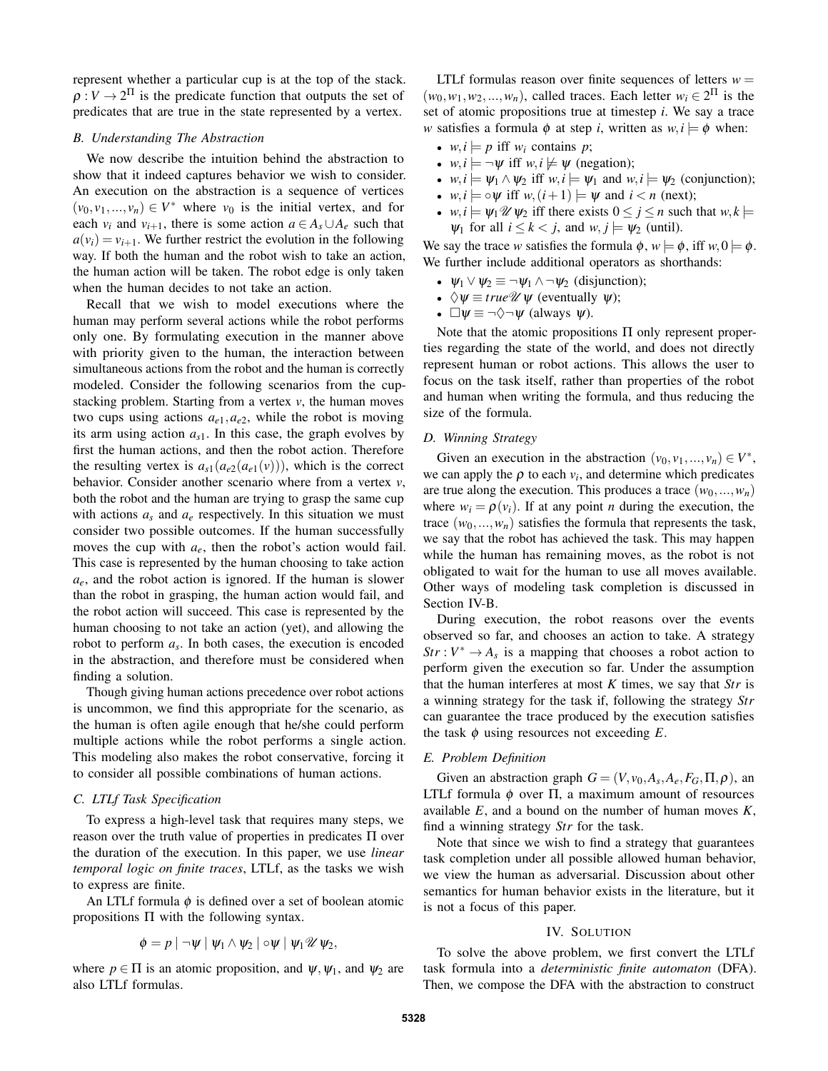represent whether a particular cup is at the top of the stack.  $\rho: V \to 2^{\Pi}$  is the predicate function that outputs the set of predicates that are true in the state represented by a vertex.

#### *B. Understanding The Abstraction*

We now describe the intuition behind the abstraction to show that it indeed captures behavior we wish to consider. An execution on the abstraction is a sequence of vertices  $(v_0, v_1, \ldots, v_n) \in V^*$  where  $v_0$  is the initial vertex, and for each  $v_i$  and  $v_{i+1}$ , there is some action  $a \in A_s \cup A_e$  such that  $a(v_i) = v_{i+1}$ . We further restrict the evolution in the following way. If both the human and the robot wish to take an action, the human action will be taken. The robot edge is only taken when the human decides to not take an action.

Recall that we wish to model executions where the human may perform several actions while the robot performs only one. By formulating execution in the manner above with priority given to the human, the interaction between simultaneous actions from the robot and the human is correctly modeled. Consider the following scenarios from the cupstacking problem. Starting from a vertex *v*, the human moves two cups using actions  $a_{e1}, a_{e2}$ , while the robot is moving its arm using action  $a_{s1}$ . In this case, the graph evolves by first the human actions, and then the robot action. Therefore the resulting vertex is  $a_{s1}(a_{e2}(a_{e1}(v)))$ , which is the correct behavior. Consider another scenario where from a vertex *v*, both the robot and the human are trying to grasp the same cup with actions  $a_s$  and  $a_e$  respectively. In this situation we must consider two possible outcomes. If the human successfully moves the cup with  $a_e$ , then the robot's action would fail. This case is represented by the human choosing to take action *ae*, and the robot action is ignored. If the human is slower than the robot in grasping, the human action would fail, and the robot action will succeed. This case is represented by the human choosing to not take an action (yet), and allowing the robot to perform *a<sup>s</sup>* . In both cases, the execution is encoded in the abstraction, and therefore must be considered when finding a solution.

Though giving human actions precedence over robot actions is uncommon, we find this appropriate for the scenario, as the human is often agile enough that he/she could perform multiple actions while the robot performs a single action. This modeling also makes the robot conservative, forcing it to consider all possible combinations of human actions.

### *C. LTLf Task Specification*

To express a high-level task that requires many steps, we reason over the truth value of properties in predicates Π over the duration of the execution. In this paper, we use *linear temporal logic on finite traces*, LTLf, as the tasks we wish to express are finite.

An LTLf formula  $\phi$  is defined over a set of boolean atomic propositions Π with the following syntax.

$$
\phi = p \mid \neg \psi \mid \psi_1 \wedge \psi_2 \mid \circ \psi \mid \psi_1 \mathscr{U} \psi_2,
$$

where  $p \in \Pi$  is an atomic proposition, and  $\psi$ ,  $\psi_1$ , and  $\psi_2$  are also LTLf formulas.

LTLf formulas reason over finite sequences of letters  $w =$  $(w_0, w_1, w_2, \ldots, w_n)$ , called traces. Each letter  $w_i \in 2^{\Pi}$  is the set of atomic propositions true at timestep *i*. We say a trace *w* satisfies a formula  $\phi$  at step *i*, written as  $w, i \models \phi$  when:

- $w, i \models p$  iff  $w_i$  contains  $p$ ;
- $w, i \models \neg \psi$  iff  $w, i \not\models \psi$  (negation);
- $w, i \models \psi_1 \land \psi_2$  iff  $w, i \models \psi_1$  and  $w, i \models \psi_2$  (conjunction);
- *w*, *i*  $\models \circ \psi$  iff *w*,  $(i+1) \models \psi$  and  $i < n$  (next);
- *w*, *i*  $\models \psi_1 \mathcal{U} \psi_2$  iff there exists  $0 \le j \le n$  such that  $w, k \models$  $\Psi_1$  for all  $i \leq k < j$ , and  $w, j \models \Psi_2$  (until).

We say the trace *w* satisfies the formula  $\phi$ ,  $w \models \phi$ , iff  $w, 0 \models \phi$ . We further include additional operators as shorthands:

- $\Psi_1 \vee \Psi_2 \equiv \neg \Psi_1 \wedge \neg \Psi_2$  (disjunction);
- $\Diamond \psi \equiv \text{true} \mathscr{U} \psi$  (eventually  $\psi$ );
- $\Box \psi \equiv \neg \Diamond \neg \psi$  (always  $\psi$ ).

Note that the atomic propositions  $\Pi$  only represent properties regarding the state of the world, and does not directly represent human or robot actions. This allows the user to focus on the task itself, rather than properties of the robot and human when writing the formula, and thus reducing the size of the formula.

#### *D. Winning Strategy*

Given an execution in the abstraction  $(v_0, v_1, ..., v_n) \in V^*$ , we can apply the  $\rho$  to each  $v_i$ , and determine which predicates are true along the execution. This produces a trace  $(w_0, ..., w_n)$ where  $w_i = \rho(v_i)$ . If at any point *n* during the execution, the trace  $(w_0, \ldots, w_n)$  satisfies the formula that represents the task, we say that the robot has achieved the task. This may happen while the human has remaining moves, as the robot is not obligated to wait for the human to use all moves available. Other ways of modeling task completion is discussed in Section IV-B.

During execution, the robot reasons over the events observed so far, and chooses an action to take. A strategy  $Str: V^* \to A_s$  is a mapping that chooses a robot action to perform given the execution so far. Under the assumption that the human interferes at most *K* times, we say that *Str* is a winning strategy for the task if, following the strategy *Str* can guarantee the trace produced by the execution satisfies the task  $\phi$  using resources not exceeding  $E$ .

### *E. Problem Definition*

Given an abstraction graph  $G = (V, v_0, A_s, A_e, F_G, \Pi, \rho)$ , an LTLf formula  $\phi$  over  $\Pi$ , a maximum amount of resources available *E*, and a bound on the number of human moves *K*, find a winning strategy *Str* for the task.

Note that since we wish to find a strategy that guarantees task completion under all possible allowed human behavior, we view the human as adversarial. Discussion about other semantics for human behavior exists in the literature, but it is not a focus of this paper.

#### IV. SOLUTION

To solve the above problem, we first convert the LTLf task formula into a *deterministic finite automaton* (DFA). Then, we compose the DFA with the abstraction to construct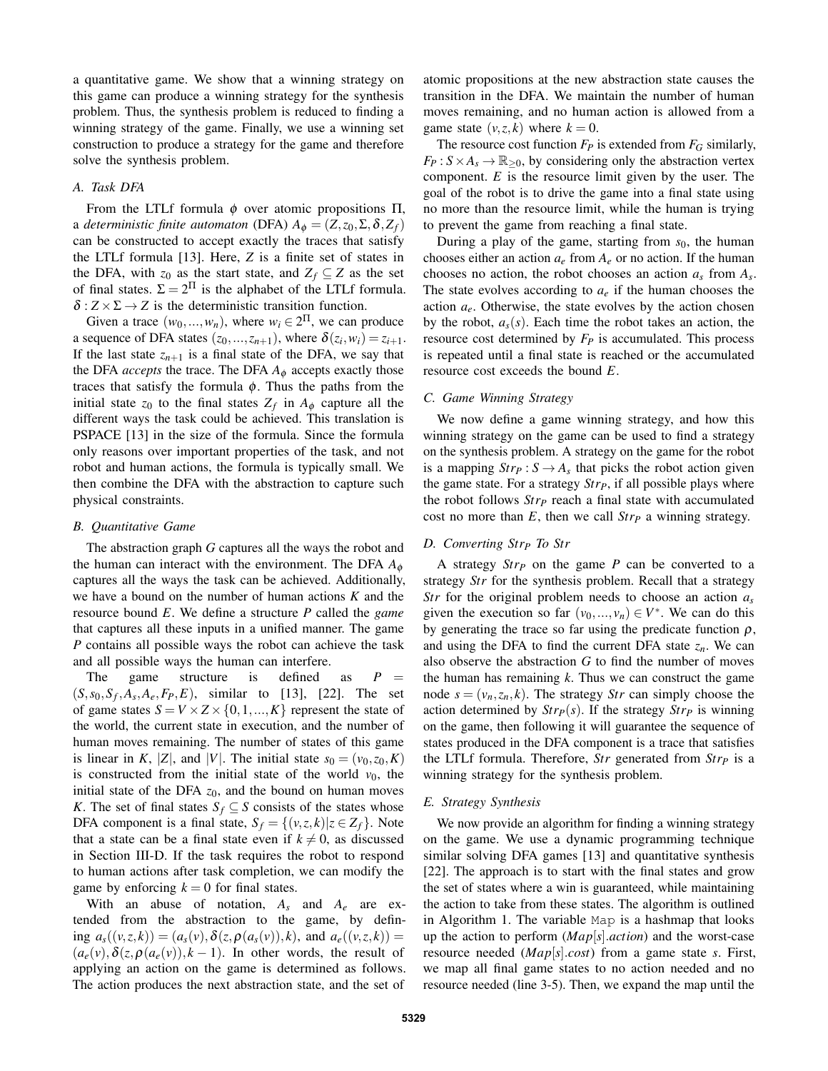a quantitative game. We show that a winning strategy on this game can produce a winning strategy for the synthesis problem. Thus, the synthesis problem is reduced to finding a winning strategy of the game. Finally, we use a winning set construction to produce a strategy for the game and therefore solve the synthesis problem.

## *A. Task DFA*

From the LTLf formula  $φ$  over atomic propositions  $\Pi$ , a *deterministic finite automaton* (DFA)  $A_{\phi} = (Z, z_0, \Sigma, \delta, Z_f)$ can be constructed to accept exactly the traces that satisfy the LTLf formula [13]. Here, *Z* is a finite set of states in the DFA, with  $z_0$  as the start state, and  $Z_f \subseteq Z$  as the set of final states.  $\Sigma = 2^{\Pi}$  is the alphabet of the LTLf formula.  $\delta$  :  $Z \times \Sigma \rightarrow Z$  is the deterministic transition function.

Given a trace  $(w_0, ..., w_n)$ , where  $w_i \in 2^{\Pi}$ , we can produce a sequence of DFA states  $(z_0, ..., z_{n+1})$ , where  $\delta(z_i, w_i) = z_{i+1}$ . If the last state  $z_{n+1}$  is a final state of the DFA, we say that the DFA *accepts* the trace. The DFA  $A_{\phi}$  accepts exactly those traces that satisfy the formula  $\phi$ . Thus the paths from the initial state  $z_0$  to the final states  $Z_f$  in  $A_{\phi}$  capture all the different ways the task could be achieved. This translation is PSPACE [13] in the size of the formula. Since the formula only reasons over important properties of the task, and not robot and human actions, the formula is typically small. We then combine the DFA with the abstraction to capture such physical constraints.

#### *B. Quantitative Game*

The abstraction graph *G* captures all the ways the robot and the human can interact with the environment. The DFA *A*<sup>φ</sup> captures all the ways the task can be achieved. Additionally, we have a bound on the number of human actions *K* and the resource bound *E*. We define a structure *P* called the *game* that captures all these inputs in a unified manner. The game *P* contains all possible ways the robot can achieve the task and all possible ways the human can interfere.

The game structure is defined as  $P =$  $(S, s_0, S_f, A_s, A_e, F_P, E)$ , similar to [13], [22]. The set of game states  $S = V \times Z \times \{0, 1, ..., K\}$  represent the state of the world, the current state in execution, and the number of human moves remaining. The number of states of this game is linear in *K*, |*Z*|, and |*V*|. The initial state  $s_0 = (v_0, z_0, K)$ is constructed from the initial state of the world  $v_0$ , the initial state of the DFA  $z_0$ , and the bound on human moves *K*. The set of final states  $S_f \subseteq S$  consists of the states whose DFA component is a final state,  $S_f = \{(v, z, k) | z \in Z_f\}$ . Note that a state can be a final state even if  $k \neq 0$ , as discussed in Section III-D. If the task requires the robot to respond to human actions after task completion, we can modify the game by enforcing  $k = 0$  for final states.

With an abuse of notation,  $A_s$  and  $A_e$  are extended from the abstraction to the game, by defin $ing \ a_s((v, z, k)) = (a_s(v), \delta(z, \rho(a_s(v)), k), \text{ and } a_e((v, z, k)) =$  $(a_e(v), \delta(z, \rho(a_e(v)), k-1)$ . In other words, the result of applying an action on the game is determined as follows. The action produces the next abstraction state, and the set of atomic propositions at the new abstraction state causes the transition in the DFA. We maintain the number of human moves remaining, and no human action is allowed from a game state  $(v, z, k)$  where  $k = 0$ .

The resource cost function  $F_P$  is extended from  $F_G$  similarly,  $F_P: S \times A_s \to \mathbb{R}_{\geq 0}$ , by considering only the abstraction vertex component. *E* is the resource limit given by the user. The goal of the robot is to drive the game into a final state using no more than the resource limit, while the human is trying to prevent the game from reaching a final state.

During a play of the game, starting from *s*0, the human chooses either an action  $a_e$  from  $A_e$  or no action. If the human chooses no action, the robot chooses an action *a<sup>s</sup>* from *A<sup>s</sup>* . The state evolves according to  $a_e$  if the human chooses the action  $a_e$ . Otherwise, the state evolves by the action chosen by the robot,  $a_s(s)$ . Each time the robot takes an action, the resource cost determined by *F<sup>P</sup>* is accumulated. This process is repeated until a final state is reached or the accumulated resource cost exceeds the bound *E*.

#### *C. Game Winning Strategy*

We now define a game winning strategy, and how this winning strategy on the game can be used to find a strategy on the synthesis problem. A strategy on the game for the robot is a mapping  $Str_P : S \to A_s$  that picks the robot action given the game state. For a strategy *StrP*, if all possible plays where the robot follows *Str<sup>P</sup>* reach a final state with accumulated cost no more than *E*, then we call *Str<sup>P</sup>* a winning strategy.

## *D. Converting Str<sup>P</sup> To Str*

A strategy *Str<sup>P</sup>* on the game *P* can be converted to a strategy *Str* for the synthesis problem. Recall that a strategy *Str* for the original problem needs to choose an action *a<sup>s</sup>* given the execution so far  $(v_0, ..., v_n) \in V^*$ . We can do this by generating the trace so far using the predicate function  $\rho$ , and using the DFA to find the current DFA state  $z_n$ . We can also observe the abstraction *G* to find the number of moves the human has remaining *k*. Thus we can construct the game node  $s = (v_n, z_n, k)$ . The strategy *Str* can simply choose the action determined by  $Str_{P}(s)$ . If the strategy  $Str_{P}(s)$  is winning on the game, then following it will guarantee the sequence of states produced in the DFA component is a trace that satisfies the LTLf formula. Therefore, *Str* generated from *Str<sup>P</sup>* is a winning strategy for the synthesis problem.

#### *E. Strategy Synthesis*

We now provide an algorithm for finding a winning strategy on the game. We use a dynamic programming technique similar solving DFA games [13] and quantitative synthesis [22]. The approach is to start with the final states and grow the set of states where a win is guaranteed, while maintaining the action to take from these states. The algorithm is outlined in Algorithm 1. The variable Map is a hashmap that looks up the action to perform (*Map*[*s*].*action*) and the worst-case resource needed (*Map*[*s*].*cost*) from a game state *s*. First, we map all final game states to no action needed and no resource needed (line 3-5). Then, we expand the map until the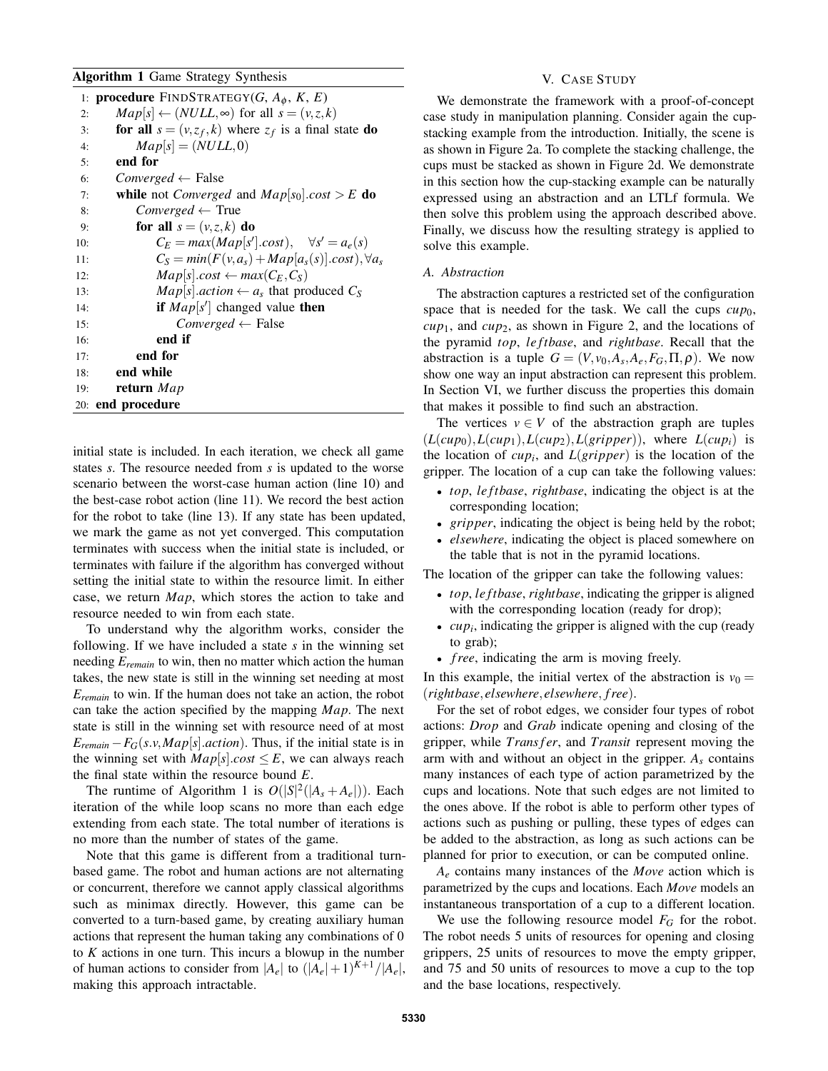### Algorithm 1 Game Strategy Synthesis

|     | 1: <b>procedure</b> FINDSTRATEGY( <i>G</i> , $A_{\phi}$ , <i>K</i> , <i>E</i> ) |
|-----|---------------------------------------------------------------------------------|
| 2:  | $Map[s] \leftarrow (NULL, \infty)$ for all $s = (v, z, k)$                      |
| 3:  | for all $s = (v, z_f, k)$ where $z_f$ is a final state do                       |
| 4:  | $Map[s] = (NULL, 0)$                                                            |
| 5:  | end for                                                                         |
| 6:  | $Converged \leftarrow False$                                                    |
| 7:  | <b>while</b> not <i>Converged</i> and $Map s_0 .cost > E$ <b>do</b>             |
| 8:  | $Converged \leftarrow True$                                                     |
| 9:  | for all $s = (v, z, k)$ do                                                      |
| 10: | $C_E = max(Map[s']. cost), \quad \forall s' = a_e(s)$                           |
| 11: | $C_S = min(F(v, a_s) + Map[a_s(s)].cost), \forall a_s$                          |
| 12: | $Map[s].cost \leftarrow max(C_E, C_S)$                                          |
| 13: | $Map[s]$ <i>action</i> $\leftarrow a_s$ that produced $C_s$                     |
| 14: | if $Map[s']$ changed value then                                                 |
| 15: | $Converged \leftarrow False$                                                    |
| 16: | end if                                                                          |
| 17: | end for                                                                         |
| 18: | end while                                                                       |
| 19: | return Map                                                                      |
|     | 20: end procedure                                                               |

initial state is included. In each iteration, we check all game states *s*. The resource needed from *s* is updated to the worse scenario between the worst-case human action (line 10) and the best-case robot action (line 11). We record the best action for the robot to take (line 13). If any state has been updated, we mark the game as not yet converged. This computation terminates with success when the initial state is included, or terminates with failure if the algorithm has converged without setting the initial state to within the resource limit. In either case, we return *Map*, which stores the action to take and resource needed to win from each state.

To understand why the algorithm works, consider the following. If we have included a state *s* in the winning set needing *Eremain* to win, then no matter which action the human takes, the new state is still in the winning set needing at most *Eremain* to win. If the human does not take an action, the robot can take the action specified by the mapping *Map*. The next state is still in the winning set with resource need of at most  $E_{remain} - F_G(s.v, Map[s].action)$ . Thus, if the initial state is in the winning set with  $Map[s].cost \leq E$ , we can always reach the final state within the resource bound *E*.

The runtime of Algorithm 1 is  $O(|S|^2(|A_s + A_e|))$ . Each iteration of the while loop scans no more than each edge extending from each state. The total number of iterations is no more than the number of states of the game.

Note that this game is different from a traditional turnbased game. The robot and human actions are not alternating or concurrent, therefore we cannot apply classical algorithms such as minimax directly. However, this game can be converted to a turn-based game, by creating auxiliary human actions that represent the human taking any combinations of 0 to *K* actions in one turn. This incurs a blowup in the number of human actions to consider from  $|A_e|$  to  $(|A_e|+1)^{K+1}/|A_e|$ , making this approach intractable.

### V. CASE STUDY

We demonstrate the framework with a proof-of-concept case study in manipulation planning. Consider again the cupstacking example from the introduction. Initially, the scene is as shown in Figure 2a. To complete the stacking challenge, the cups must be stacked as shown in Figure 2d. We demonstrate in this section how the cup-stacking example can be naturally expressed using an abstraction and an LTLf formula. We then solve this problem using the approach described above. Finally, we discuss how the resulting strategy is applied to solve this example.

### *A. Abstraction*

The abstraction captures a restricted set of the configuration space that is needed for the task. We call the cups  $cup_0$ , *cup*1, and *cup*2, as shown in Figure 2, and the locations of the pyramid *top*, *le ftbase*, and *rightbase*. Recall that the abstraction is a tuple  $G = (V, v_0, A_s, A_e, F_G, \Pi, \rho)$ . We now show one way an input abstraction can represent this problem. In Section VI, we further discuss the properties this domain that makes it possible to find such an abstraction.

The vertices  $v \in V$  of the abstraction graph are tuples  $(L(cup_0), L(cup_1), L(cup_2), L(gripper))$ , where  $L(cup_i)$  is the location of  $cup_i$ , and  $L(gripper)$  is the location of the gripper. The location of a cup can take the following values:

- *top*, *le ftbase*, *rightbase*, indicating the object is at the corresponding location;
- *gripper*, indicating the object is being held by the robot;
- *elsewhere*, indicating the object is placed somewhere on the table that is not in the pyramid locations.

The location of the gripper can take the following values:

- *top*, *le ftbase*, *rightbase*, indicating the gripper is aligned with the corresponding location (ready for drop);
- $\bullet$  *cup<sub>i</sub>*, indicating the gripper is aligned with the cup (ready to grab);
- *free*, indicating the arm is moving freely.

In this example, the initial vertex of the abstraction is  $v_0 =$ (*rightbase*, *elsewhere*, *elsewhere*, *f ree*).

For the set of robot edges, we consider four types of robot actions: *Drop* and *Grab* indicate opening and closing of the gripper, while *Trans f er*, and *Transit* represent moving the arm with and without an object in the gripper.  $A_s$  contains many instances of each type of action parametrized by the cups and locations. Note that such edges are not limited to the ones above. If the robot is able to perform other types of actions such as pushing or pulling, these types of edges can be added to the abstraction, as long as such actions can be planned for prior to execution, or can be computed online.

*A<sup>e</sup>* contains many instances of the *Move* action which is parametrized by the cups and locations. Each *Move* models an instantaneous transportation of a cup to a different location.

We use the following resource model  $F_G$  for the robot. The robot needs 5 units of resources for opening and closing grippers, 25 units of resources to move the empty gripper, and 75 and 50 units of resources to move a cup to the top and the base locations, respectively.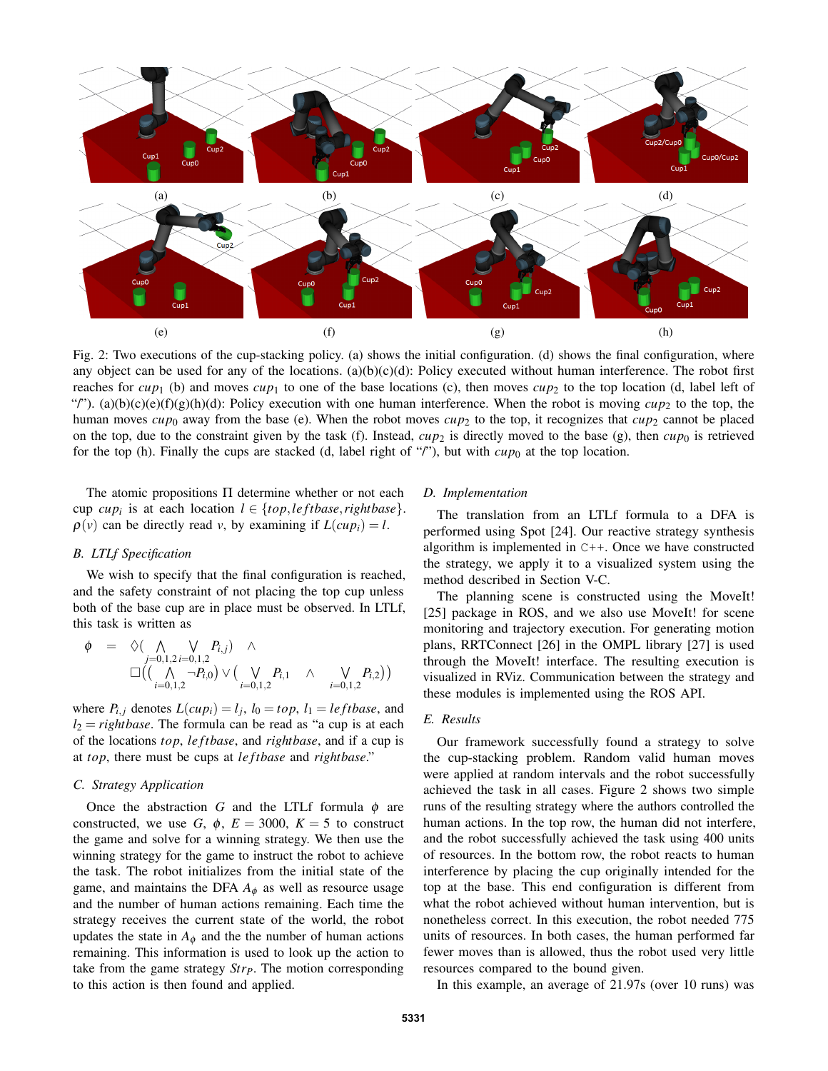

Fig. 2: Two executions of the cup-stacking policy. (a) shows the initial configuration. (d) shows the final configuration, where any object can be used for any of the locations. (a)(b)(c)(d): Policy executed without human interference. The robot first reaches for  $cup_1$  (b) and moves  $cup_1$  to one of the base locations (c), then moves  $cup_2$  to the top location (d, label left of "'). (a)(b)(c)(e)(f)(g)(h)(d): Policy execution with one human interference. When the robot is moving  $cup_2$  to the top, the human moves  $cup_0$  away from the base (e). When the robot moves  $cup_2$  to the top, it recognizes that  $cup_2$  cannot be placed on the top, due to the constraint given by the task (f). Instead,  $cup_2$  is directly moved to the base (g), then  $cup_0$  is retrieved for the top (h). Finally the cups are stacked (d, label right of "/"), but with  $cup_{0}$  at the top location.

The atomic propositions Π determine whether or not each cup *cup<sub>i</sub>* is at each location  $l \in \{top, left base, right base\}.$  $\rho(v)$  can be directly read *v*, by examining if  $L(cup_i) = l$ .

### *B. LTLf Specification*

We wish to specify that the final configuration is reached, and the safety constraint of not placing the top cup unless both of the base cup are in place must be observed. In LTLf, this task is written as

$$
\varphi = \diamondsuit(\bigwedge_{j=0,1,2} \bigvee_{i=0,1,2} P_{i,j}) \wedge \square\left(\bigwedge_{i=0,1,2} \neg P_{i,0}\right) \vee \bigwedge_{i=0,1,2} P_{i,1} \wedge \bigvee_{i=0,1,2} P_{i,2}\big)
$$

where  $P_{i,j}$  denotes  $L(cup_i) = l_j$ ,  $l_0 = top$ ,  $l_1 = leftbase$ , and  $l_2 = right \cdot l_2$ . The formula can be read as "a cup is at each of the locations *top*, *le ftbase*, and *rightbase*, and if a cup is at *top*, there must be cups at *le ftbase* and *rightbase*."

### *C. Strategy Application*

Once the abstraction *G* and the LTLf formula  $\phi$  are constructed, we use *G*,  $\phi$ ,  $E = 3000$ ,  $K = 5$  to construct the game and solve for a winning strategy. We then use the winning strategy for the game to instruct the robot to achieve the task. The robot initializes from the initial state of the game, and maintains the DFA  $A_{\phi}$  as well as resource usage and the number of human actions remaining. Each time the strategy receives the current state of the world, the robot updates the state in  $A_{\phi}$  and the the number of human actions remaining. This information is used to look up the action to take from the game strategy *StrP*. The motion corresponding to this action is then found and applied.

### *D. Implementation*

The translation from an LTLf formula to a DFA is performed using Spot [24]. Our reactive strategy synthesis algorithm is implemented in C++. Once we have constructed the strategy, we apply it to a visualized system using the method described in Section V-C.

The planning scene is constructed using the MoveIt! [25] package in ROS, and we also use MoveIt! for scene monitoring and trajectory execution. For generating motion plans, RRTConnect [26] in the OMPL library [27] is used through the MoveIt! interface. The resulting execution is visualized in RViz. Communication between the strategy and these modules is implemented using the ROS API.

### *E. Results*

Our framework successfully found a strategy to solve the cup-stacking problem. Random valid human moves were applied at random intervals and the robot successfully achieved the task in all cases. Figure 2 shows two simple runs of the resulting strategy where the authors controlled the human actions. In the top row, the human did not interfere, and the robot successfully achieved the task using 400 units of resources. In the bottom row, the robot reacts to human interference by placing the cup originally intended for the top at the base. This end configuration is different from what the robot achieved without human intervention, but is nonetheless correct. In this execution, the robot needed 775 units of resources. In both cases, the human performed far fewer moves than is allowed, thus the robot used very little resources compared to the bound given.

In this example, an average of 21.97s (over 10 runs) was